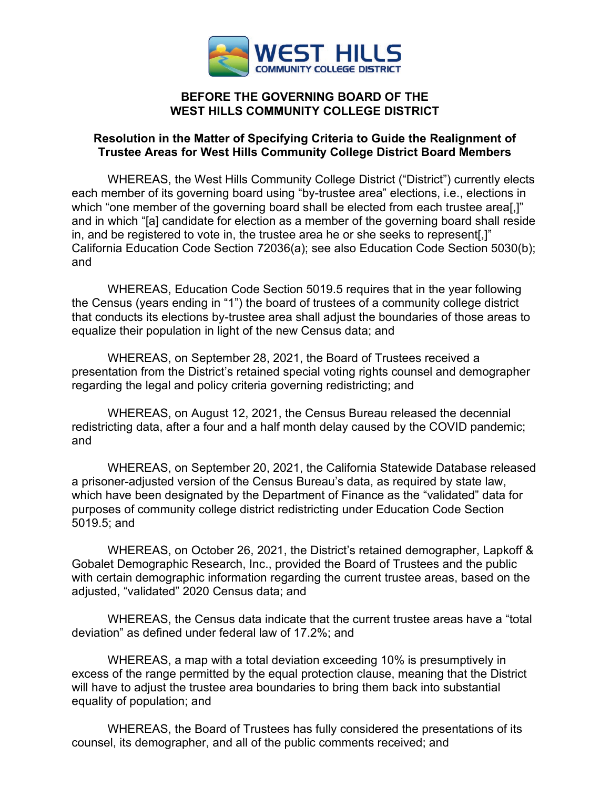

### **BEFORE THE GOVERNING BOARD OF THE WEST HILLS COMMUNITY COLLEGE DISTRICT**

### **Resolution in the Matter of Specifying Criteria to Guide the Realignment of Trustee Areas for West Hills Community College District Board Members**

WHEREAS, the West Hills Community College District ("District") currently elects each member of its governing board using "by-trustee area" elections, i.e., elections in which "one member of the governing board shall be elected from each trustee area[,]" and in which "[a] candidate for election as a member of the governing board shall reside in, and be registered to vote in, the trustee area he or she seeks to represent[,]" California Education Code Section 72036(a); see also Education Code Section 5030(b); and

WHEREAS, Education Code Section 5019.5 requires that in the year following the Census (years ending in "1") the board of trustees of a community college district that conducts its elections by-trustee area shall adjust the boundaries of those areas to equalize their population in light of the new Census data; and

WHEREAS, on September 28, 2021, the Board of Trustees received a presentation from the District's retained special voting rights counsel and demographer regarding the legal and policy criteria governing redistricting; and

WHEREAS, on August 12, 2021, the Census Bureau released the decennial redistricting data, after a four and a half month delay caused by the COVID pandemic; and

WHEREAS, on September 20, 2021, the California Statewide Database released a prisoner-adjusted version of the Census Bureau's data, as required by state law, which have been designated by the Department of Finance as the "validated" data for purposes of community college district redistricting under Education Code Section 5019.5; and

WHEREAS, on October 26, 2021, the District's retained demographer, Lapkoff & Gobalet Demographic Research, Inc., provided the Board of Trustees and the public with certain demographic information regarding the current trustee areas, based on the adjusted, "validated" 2020 Census data; and

WHEREAS, the Census data indicate that the current trustee areas have a "total deviation" as defined under federal law of 17.2%; and

WHEREAS, a map with a total deviation exceeding 10% is presumptively in excess of the range permitted by the equal protection clause, meaning that the District will have to adjust the trustee area boundaries to bring them back into substantial equality of population; and

WHEREAS, the Board of Trustees has fully considered the presentations of its counsel, its demographer, and all of the public comments received; and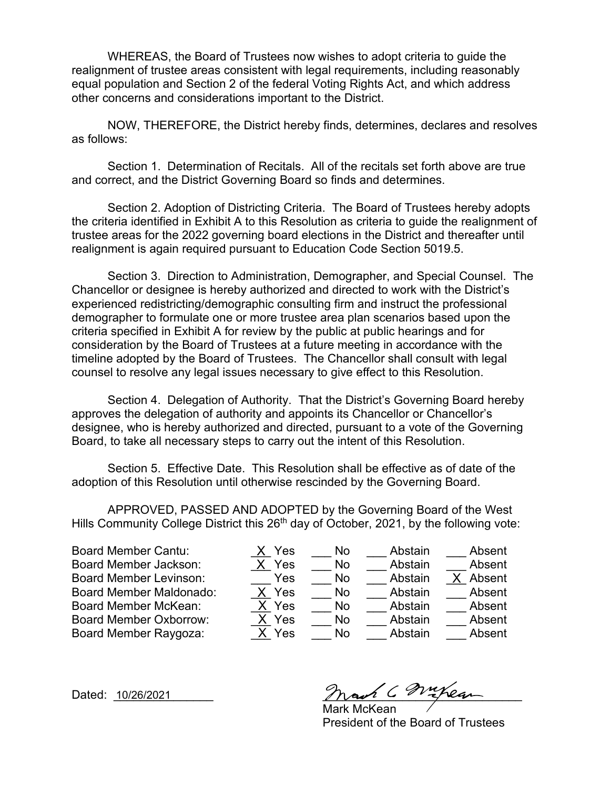WHEREAS, the Board of Trustees now wishes to adopt criteria to guide the realignment of trustee areas consistent with legal requirements, including reasonably equal population and Section 2 of the federal Voting Rights Act, and which address other concerns and considerations important to the District.

NOW, THEREFORE, the District hereby finds, determines, declares and resolves as follows:

Section 1. Determination of Recitals. All of the recitals set forth above are true and correct, and the District Governing Board so finds and determines.

Section 2. Adoption of Districting Criteria. The Board of Trustees hereby adopts the criteria identified in Exhibit A to this Resolution as criteria to guide the realignment of trustee areas for the 2022 governing board elections in the District and thereafter until realignment is again required pursuant to Education Code Section 5019.5.

Section 3. Direction to Administration, Demographer, and Special Counsel. The Chancellor or designee is hereby authorized and directed to work with the District's experienced redistricting/demographic consulting firm and instruct the professional demographer to formulate one or more trustee area plan scenarios based upon the criteria specified in Exhibit A for review by the public at public hearings and for consideration by the Board of Trustees at a future meeting in accordance with the timeline adopted by the Board of Trustees. The Chancellor shall consult with legal counsel to resolve any legal issues necessary to give effect to this Resolution.

Section 4. Delegation of Authority. That the District's Governing Board hereby approves the delegation of authority and appoints its Chancellor or Chancellor's designee, who is hereby authorized and directed, pursuant to a vote of the Governing Board, to take all necessary steps to carry out the intent of this Resolution.

Section 5. Effective Date. This Resolution shall be effective as of date of the adoption of this Resolution until otherwise rescinded by the Governing Board.

APPROVED, PASSED AND ADOPTED by the Governing Board of the West Hills Community College District this  $26<sup>th</sup>$  day of October, 2021, by the following vote:

Board Member Cantu:  $X$  Yes  $\longrightarrow$  No Abstain Absent Board Member Jackson:  $X$  Yes  $\longrightarrow$  No  $\longrightarrow$  Abstain  $\longrightarrow$  Absent Board Member Levinson: The Yes No Abstain Board Member Maldonado:  $X$  Yes  $Y$ No Abstain Absent Board Member McKean:  $X$  Yes  $\longrightarrow$  No  $\longrightarrow$  Abstain  $\longrightarrow$  Absent Board Member Oxborrow:  $X$  Yes  $\longrightarrow$  No  $\longrightarrow$  Abstain  $\longrightarrow$  Absent Board Member Raygoza:  $X$  Yes  $\longrightarrow$  No Abstain Absent

X Yes X Yes X Yes X Yes X X Yes

X Absent

Dated: <u>10/26/2021</u> and the most of the most of the most of the most of the most of the most of the most of the most of the most of the most of the most of the most of the most of the most of the most of the most of the mo

 Mark McKean President of the Board of Trustees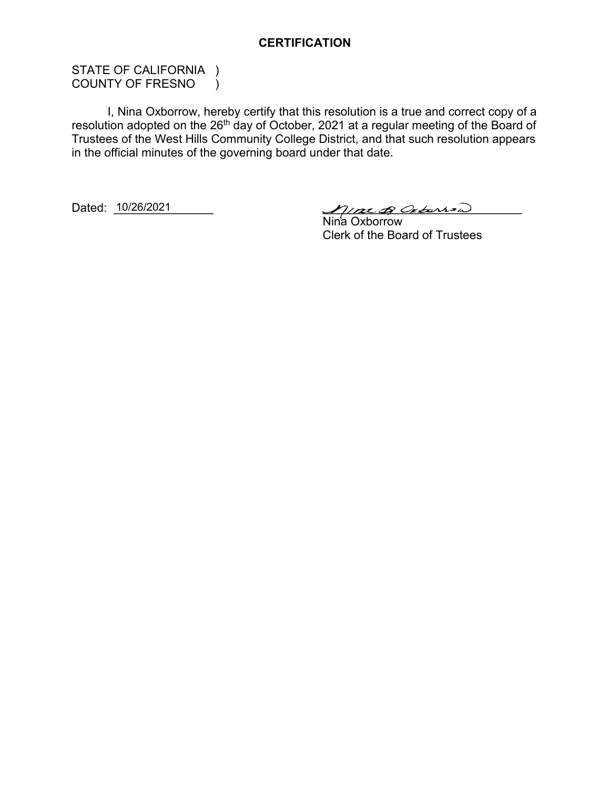### **CERTIFICATION**

STATE OF CALIFORNIA ) COUNTY OF FRESNO )

I, Nina Oxborrow, hereby certify that this resolution is a true and correct copy of a resolution adopted on the 26<sup>th</sup> day of October, 2021 at a regular meeting of the Board of Trustees of the West Hills Community College District, and that such resolution appears in the official minutes of the governing board under that date.

Dated: 10/26/2021

 $M/mGO$ 

 Nina Oxborrow Clerk of the Board of Trustees